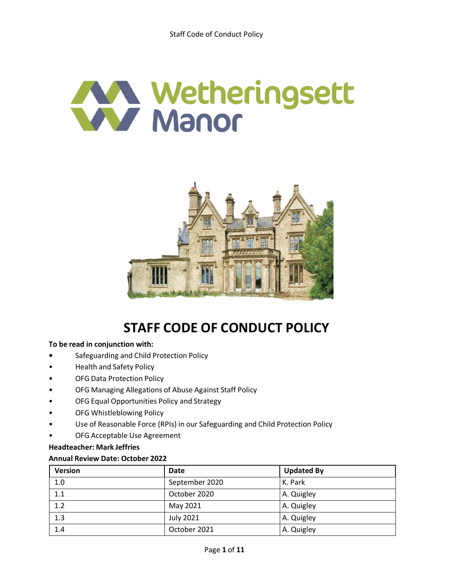# Wetheringsett



# **STAFF CODE OF CONDUCT POLICY**

# **To be read in conjunction with:**

- **•** Safeguarding and Child Protection Policy
- Health and Safety Policy
- OFG Data Protection Policy
- OFG Managing Allegations of Abuse Against Staff Policy
- OFG Equal Opportunities Policy and Strategy
- OFG Whistleblowing Policy
- Use of Reasonable Force (RPIs) in our Safeguarding and Child Protection Policy
- OFG Acceptable Use Agreement

# **Headteacher: Mark Jeffries**

# **Annual Review Date: October 2022**

| <b>Version</b> | <b>Date</b>      | <b>Updated By</b> |
|----------------|------------------|-------------------|
| 1.0            | September 2020   | K. Park           |
| 1.1            | October 2020     | A. Quigley        |
| 1.2            | May 2021         | A. Quigley        |
| 1.3            | <b>July 2021</b> | A. Quigley        |
| 1.4            | October 2021     | A. Quigley        |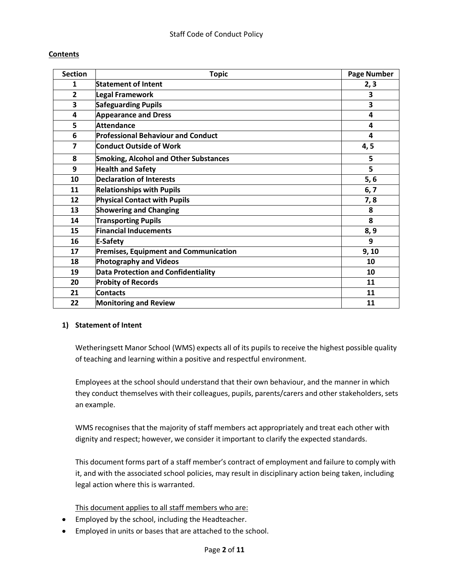# **Contents**

| <b>Section</b>          | <b>Topic</b>                                 | <b>Page Number</b> |
|-------------------------|----------------------------------------------|--------------------|
| 1                       | <b>Statement of Intent</b>                   | 2, 3               |
| $\overline{2}$          | Legal Framework                              | 3                  |
| 3                       | <b>Safeguarding Pupils</b>                   | 3                  |
| 4                       | <b>Appearance and Dress</b>                  | $\overline{4}$     |
| 5                       | Attendance                                   | 4                  |
| 6                       | <b>Professional Behaviour and Conduct</b>    | 4                  |
| $\overline{\mathbf{z}}$ | <b>Conduct Outside of Work</b>               | 4, 5               |
| 8                       | <b>Smoking, Alcohol and Other Substances</b> | 5                  |
| 9                       | <b>Health and Safety</b>                     | 5                  |
| 10                      | <b>Declaration of Interests</b>              | 5, 6               |
| 11                      | <b>Relationships with Pupils</b>             | 6, 7               |
| 12                      | <b>Physical Contact with Pupils</b>          | 7,8                |
| 13                      | <b>Showering and Changing</b>                | 8                  |
| 14                      | <b>Transporting Pupils</b>                   | 8                  |
| 15                      | <b>Financial Inducements</b>                 | 8, 9               |
| 16                      | <b>E-Safety</b>                              | 9                  |
| 17                      | <b>Premises, Equipment and Communication</b> | 9, 10              |
| 18                      | <b>Photography and Videos</b>                | 10                 |
| 19                      | Data Protection and Confidentiality          | 10                 |
| 20                      | <b>Probity of Records</b>                    | 11                 |
| 21                      | <b>Contacts</b>                              | 11                 |
| 22                      | <b>Monitoring and Review</b>                 | 11                 |

# **1) Statement of Intent**

Wetheringsett Manor School (WMS) expects all of its pupils to receive the highest possible quality of teaching and learning within a positive and respectful environment.

Employees at the school should understand that their own behaviour, and the manner in which they conduct themselves with their colleagues, pupils, parents/carers and other stakeholders, sets an example.

WMS recognises that the majority of staff members act appropriately and treat each other with dignity and respect; however, we consider it important to clarify the expected standards.

This document forms part of a staff member's contract of employment and failure to comply with it, and with the associated school policies, may result in disciplinary action being taken, including legal action where this is warranted.

This document applies to all staff members who are:

- Employed by the school, including the Headteacher.
- Employed in units or bases that are attached to the school.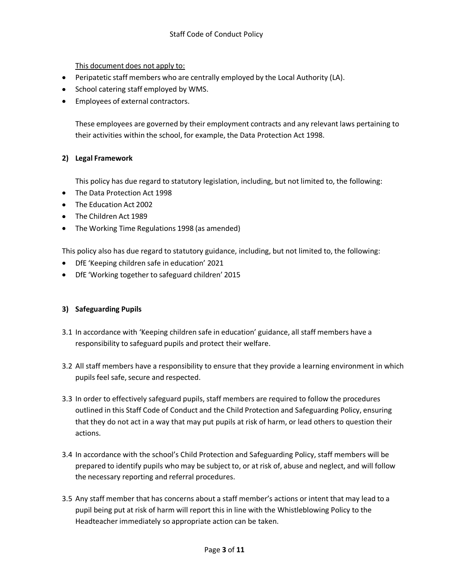This document does not apply to:

- Peripatetic staff members who are centrally employed by the Local Authority (LA).
- School catering staff employed by WMS.
- Employees of external contractors.

These employees are governed by their employment contracts and any relevant laws pertaining to their activities within the school, for example, the Data Protection Act 1998.

# **2) Legal Framework**

This policy has due regard to statutory legislation, including, but not limited to, the following:

- The Data Protection Act 1998
- The Education Act 2002
- The Children Act 1989
- The Working Time Regulations 1998 (as amended)

This policy also has due regard to statutory guidance, including, but not limited to, the following:

- DfE 'Keeping children safe in education' 2021
- DfE 'Working together to safeguard children' 2015

# **3) Safeguarding Pupils**

- 3.1 In accordance with 'Keeping children safe in education' guidance, all staff members have a responsibility to safeguard pupils and protect their welfare.
- 3.2 All staff members have a responsibility to ensure that they provide a learning environment in which pupils feel safe, secure and respected.
- 3.3 In order to effectively safeguard pupils, staff members are required to follow the procedures outlined in this Staff Code of Conduct and the Child Protection and Safeguarding Policy, ensuring that they do not act in a way that may put pupils at risk of harm, or lead others to question their actions.
- 3.4 In accordance with the school's Child Protection and Safeguarding Policy, staff members will be prepared to identify pupils who may be subject to, or at risk of, abuse and neglect, and will follow the necessary reporting and referral procedures.
- 3.5 Any staff member that has concerns about a staff member's actions or intent that may lead to a pupil being put at risk of harm will report this in line with the Whistleblowing Policy to the Headteacher immediately so appropriate action can be taken.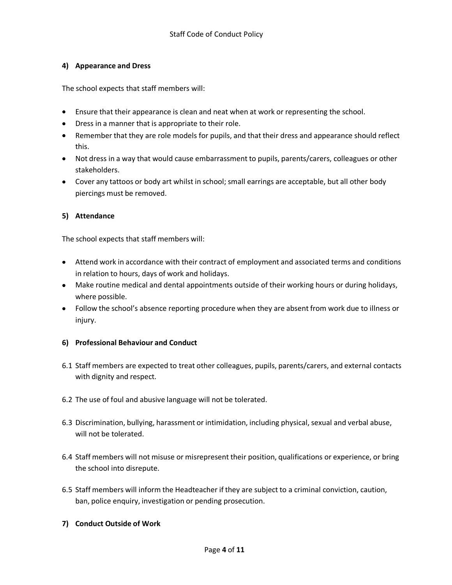# **4) Appearance and Dress**

The school expects that staff members will:

- Ensure that their appearance is clean and neat when at work or representing the school.
- Dress in a manner that is appropriate to their role.
- Remember that they are role models for pupils, and that their dress and appearance should reflect this.
- Not dress in a way that would cause embarrassment to pupils, parents/carers, colleagues or other stakeholders.
- Cover any tattoos or body art whilst in school; small earrings are acceptable, but all other body piercings must be removed.

# **5) Attendance**

The school expects that staff members will:

- Attend work in accordance with their contract of employment and associated terms and conditions in relation to hours, days of work and holidays.
- Make routine medical and dental appointments outside of their working hours or during holidays, where possible.
- Follow the school's absence reporting procedure when they are absent from work due to illness or injury.

# **6) Professional Behaviour and Conduct**

- 6.1 Staff members are expected to treat other colleagues, pupils, parents/carers, and external contacts with dignity and respect.
- 6.2 The use of foul and abusive language will not be tolerated.
- 6.3 Discrimination, bullying, harassment or intimidation, including physical, sexual and verbal abuse, will not be tolerated.
- 6.4 Staff members will not misuse or misrepresent their position, qualifications or experience, or bring the school into disrepute.
- 6.5 Staff members will inform the Headteacher if they are subject to a criminal conviction, caution, ban, police enquiry, investigation or pending prosecution.

# **7) Conduct Outside of Work**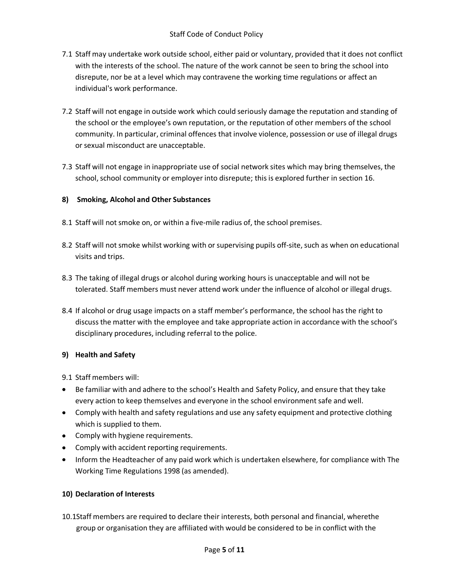- 7.1 Staff may undertake work outside school, either paid or voluntary, provided that it does not conflict with the interests of the school. The nature of the work cannot be seen to bring the school into disrepute, nor be at a level which may contravene the working time regulations or affect an individual's work performance.
- 7.2 Staff will not engage in outside work which could seriously damage the reputation and standing of the school or the employee's own reputation, or the reputation of other members of the school community. In particular, criminal offences that involve violence, possession or use of illegal drugs or sexual misconduct are unacceptable.
- 7.3 Staff will not engage in inappropriate use of social network sites which may bring themselves, the school, school community or employer into disrepute; this is explored further in section 16.

# **8) Smoking, Alcohol and Other Substances**

- 8.1 Staff will not smoke on, or within a five-mile radius of, the school premises.
- 8.2 Staff will not smoke whilst working with or supervising pupils off-site, such as when on educational visits and trips.
- 8.3 The taking of illegal drugs or alcohol during working hours is unacceptable and will not be tolerated. Staff members must never attend work under the influence of alcohol or illegal drugs.
- 8.4 If alcohol or drug usage impacts on a staff member's performance, the school has the right to discuss the matter with the employee and take appropriate action in accordance with the school's disciplinary procedures, including referral to the police.

# **9) Health and Safety**

9.1 Staff members will:

- Be familiar with and adhere to the school's Health and Safety Policy, and ensure that they take every action to keep themselves and everyone in the school environment safe and well.
- Comply with health and safety regulations and use any safety equipment and protective clothing which is supplied to them.
- Comply with hygiene requirements.
- Comply with accident reporting requirements.
- Inform the Headteacher of any paid work which is undertaken elsewhere, for compliance with The Working Time Regulations 1998 (as amended).

# **10) Declaration of Interests**

10.1Staff members are required to declare their interests, both personal and financial, wherethe group or organisation they are affiliated with would be considered to be in conflict with the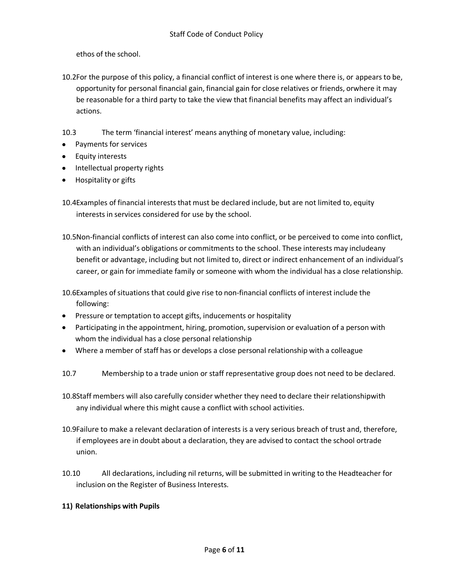ethos of the school.

10.2For the purpose of this policy, a financial conflict of interest is one where there is, or appears to be, opportunity for personal financial gain, financial gain for close relatives or friends, orwhere it may be reasonable for a third party to take the view that financial benefits may affect an individual's actions.

10.3 The term 'financial interest' means anything of monetary value, including:

- Payments for services  $\bullet$
- Equity interests
- Intellectual property rights
- Hospitality or gifts
- 10.4Examples of financial interests that must be declared include, but are not limited to, equity interests in services considered for use by the school.
- 10.5Non-financial conflicts of interest can also come into conflict, or be perceived to come into conflict, with an individual's obligations or commitments to the school. These interests may includeany benefit or advantage, including but not limited to, direct or indirect enhancement of an individual's career, or gain for immediate family or someone with whom the individual has a close relationship.

10.6Examples ofsituations that could give rise to non-financial conflicts of interest include the following:

- Pressure or temptation to accept gifts, inducements or hospitality
- Participating in the appointment, hiring, promotion, supervision or evaluation of a person with whom the individual has a close personal relationship
- Where a member of staff has or develops a close personal relationship with a colleague
- 10.7 Membership to a trade union or staff representative group does not need to be declared.
- 10.8Staff members will also carefully consider whether they need to declare their relationshipwith any individual where this might cause a conflict with school activities.
- 10.9Failure to make a relevant declaration of interests is a very serious breach of trust and, therefore, if employees are in doubt about a declaration, they are advised to contact the school ortrade union.
- 10.10 All declarations, including nil returns, will be submitted in writing to the Headteacher for inclusion on the Register of Business Interests.

# **11) Relationships with Pupils**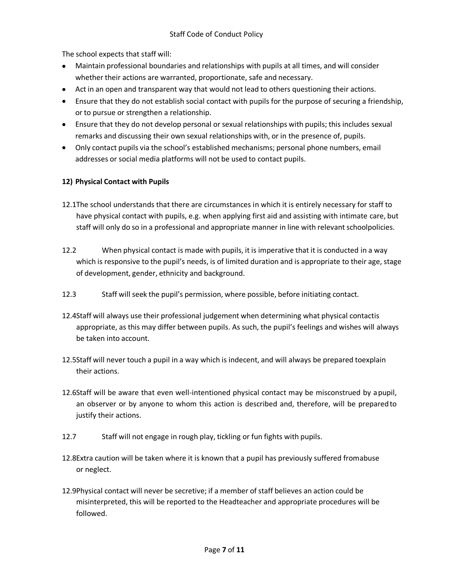The school expects that staff will:

- Maintain professional boundaries and relationships with pupils at all times, and will consider  $\bullet$ whether their actions are warranted, proportionate, safe and necessary.
- Act in an open and transparent way that would not lead to others questioning their actions.
- Ensure that they do not establish social contact with pupils for the purpose of securing a friendship, or to pursue or strengthen a relationship.
- Ensure that they do not develop personal or sexual relationships with pupils; this includes sexual remarks and discussing their own sexual relationships with, or in the presence of, pupils.
- Only contact pupils via the school's established mechanisms; personal phone numbers, email addresses or social media platforms will not be used to contact pupils.

# **12) Physical Contact with Pupils**

- 12.1The school understands that there are circumstances in which it is entirely necessary for staff to have physical contact with pupils, e.g. when applying first aid and assisting with intimate care, but staff will only do so in a professional and appropriate manner in line with relevant schoolpolicies.
- 12.2 When physical contact is made with pupils, it is imperative that it is conducted in a way which is responsive to the pupil's needs, is of limited duration and is appropriate to their age, stage of development, gender, ethnicity and background.
- 12.3 Staff will seek the pupil's permission, where possible, before initiating contact.
- 12.4Staff will always use their professional judgement when determining what physical contactis appropriate, as this may differ between pupils. As such, the pupil's feelings and wishes will always be taken into account.
- 12.5Staff will never touch a pupil in a way which is indecent, and will always be prepared toexplain their actions.
- 12.6Staff will be aware that even well-intentioned physical contact may be misconstrued by apupil, an observer or by anyone to whom this action is described and, therefore, will be preparedto justify their actions.
- 12.7 Staff will not engage in rough play, tickling or fun fights with pupils.
- 12.8Extra caution will be taken where it is known that a pupil has previously suffered fromabuse or neglect.
- 12.9Physical contact will never be secretive; if a member ofstaff believes an action could be misinterpreted, this will be reported to the Headteacher and appropriate procedures will be followed.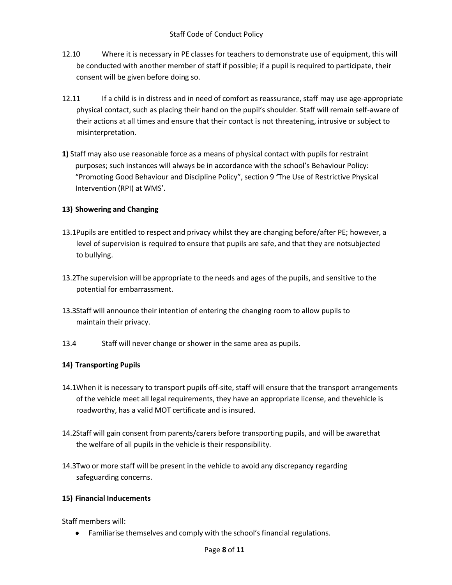- 12.10 Where it is necessary in PE classes for teachers to demonstrate use of equipment, this will be conducted with another member of staff if possible; if a pupil is required to participate, their consent will be given before doing so.
- 12.11 If a child is in distress and in need of comfort as reassurance, staff may use age-appropriate physical contact, such as placing their hand on the pupil's shoulder. Staff will remain self-aware of their actions at all times and ensure that their contact is not threatening, intrusive or subject to misinterpretation.
- **1)** Staff may also use reasonable force as a means of physical contact with pupils for restraint purposes; such instances will always be in accordance with the school's Behaviour Policy: "Promoting Good Behaviour and Discipline Policy", section 9 **'**The Use of Restrictive Physical Intervention (RPI) at WMS'.

# **13) Showering and Changing**

- 13.1Pupils are entitled to respect and privacy whilst they are changing before/after PE; however, a level of supervision is required to ensure that pupils are safe, and that they are notsubjected to bullying.
- 13.2The supervision will be appropriate to the needs and ages of the pupils, and sensitive to the potential for embarrassment.
- 13.3Staff will announce their intention of entering the changing room to allow pupils to maintain their privacy.
- 13.4 Staff will never change or shower in the same area as pupils.

# **14) Transporting Pupils**

- 14.1When it is necessary to transport pupils off-site, staff will ensure that the transport arrangements of the vehicle meet all legal requirements, they have an appropriate license, and thevehicle is roadworthy, has a valid MOT certificate and is insured.
- 14.2Staff will gain consent from parents/carers before transporting pupils, and will be awarethat the welfare of all pupils in the vehicle is their responsibility.
- 14.3Two or more staff will be present in the vehicle to avoid any discrepancy regarding safeguarding concerns.

# **15) Financial Inducements**

Staff members will:

Familiarise themselves and comply with the school's financial regulations. $\bullet$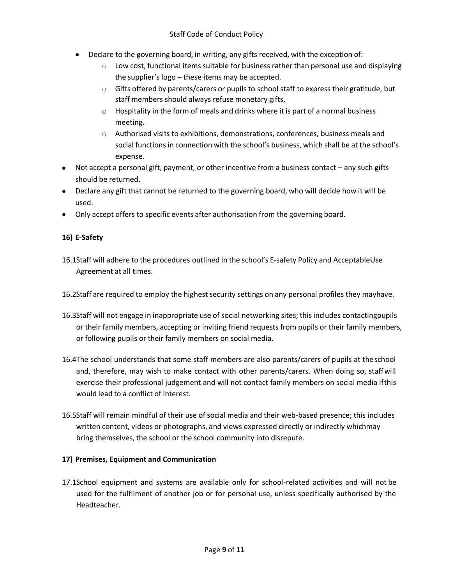- Declare to the governing board, in writing, any gifts received, with the exception of:
	- $\circ$  Low cost, functional items suitable for business rather than personal use and displaying the supplier's logo – these items may be accepted.
	- o Gifts offered by parents/carers or pupils to school staff to express their gratitude, but staff members should always refuse monetary gifts.
	- $\circ$  Hospitality in the form of meals and drinks where it is part of a normal business meeting.
	- o Authorised visits to exhibitions, demonstrations, conferences, business meals and social functions in connection with the school's business, which shall be at the school's expense.
- Not accept a personal gift, payment, or other incentive from a business contact any such gifts should be returned.
- Declare any gift that cannot be returned to the governing board, who will decide how it will be used.
- Only accept offers to specific events after authorisation from the governing board.

# **16) E-Safety**

- 16.1Staff will adhere to the procedures outlined in the school's E-safety Policy and AcceptableUse Agreement at all times.
- 16.2Staff are required to employ the highest security settings on any personal profiles they mayhave.
- 16.3Staff will not engage in inappropriate use of social networking sites; this includes contactingpupils or their family members, accepting or inviting friend requests from pupils or their family members, or following pupils or their family members on social media.
- 16.4The school understands that some staff members are also parents/carers of pupils at theschool and, therefore, may wish to make contact with other parents/carers. When doing so, staffwill exercise their professional judgement and will not contact family members on social media ifthis would lead to a conflict of interest.
- 16.5Staff will remain mindful of their use of social media and their web-based presence; this includes written content, videos or photographs, and views expressed directly or indirectly whichmay bring themselves, the school or the school community into disrepute.

# **17) Premises, Equipment and Communication**

17.1School equipment and systems are available only for school-related activities and will not be used for the fulfilment of another job or for personal use, unless specifically authorised by the Headteacher.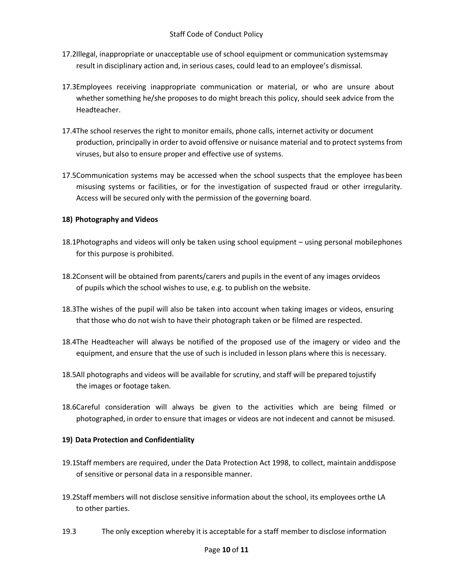- 17.2Illegal, inappropriate or unacceptable use of school equipment or communication systemsmay result in disciplinary action and, in serious cases, could lead to an employee's dismissal.
- 17.3Employees receiving inappropriate communication or material, or who are unsure about whether something he/she proposes to do might breach this policy, should seek advice from the Headteacher.
- 17.4The school reserves the right to monitor emails, phone calls, internet activity or document production, principally in order to avoid offensive or nuisance material and to protect systems from viruses, but also to ensure proper and effective use of systems.
- 17.5Communication systems may be accessed when the school suspects that the employee hasbeen misusing systems or facilities, or for the investigation of suspected fraud or other irregularity. Access will be secured only with the permission of the governing board.

# **18) Photography and Videos**

- 18.1Photographs and videos will only be taken using school equipment using personal mobilephones for this purpose is prohibited.
- 18.2Consent will be obtained from parents/carers and pupils in the event of any images orvideos of pupils which the school wishes to use, e.g. to publish on the website.
- 18.3The wishes of the pupil will also be taken into account when taking images or videos, ensuring that those who do not wish to have their photograph taken or be filmed are respected.
- 18.4The Headteacher will always be notified of the proposed use of the imagery or video and the equipment, and ensure that the use of such is included in lesson plans where this is necessary.
- 18.5All photographs and videos will be available for scrutiny, and staff will be prepared tojustify the images or footage taken.
- 18.6Careful consideration will always be given to the activities which are being filmed or photographed, in order to ensure that images or videos are not indecent and cannot be misused.

# **19) Data Protection and Confidentiality**

- 19.1Staff members are required, under the Data Protection Act 1998, to collect, maintain anddispose of sensitive or personal data in a responsible manner.
- 19.2Staff members will not disclose sensitive information about the school, its employees orthe LA to other parties.
- 19.3 The only exception whereby it is acceptable for a staff member to disclose information